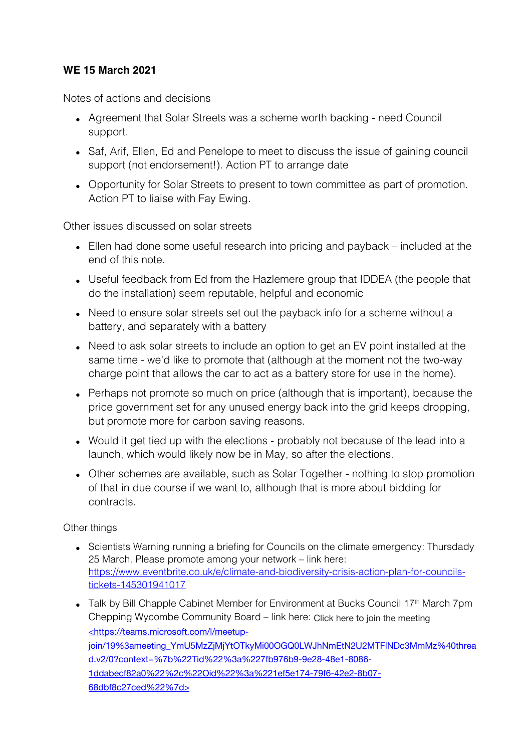## **WE 15 March 2021**

Notes of actions and decisions

- Agreement that Solar Streets was a scheme worth backing need Council support.
- Saf, Arif, Ellen, Ed and Penelope to meet to discuss the issue of gaining council support (not endorsement!). Action PT to arrange date
- Opportunity for Solar Streets to present to town committee as part of promotion. Action PT to liaise with Fay Ewing.

Other issues discussed on solar streets

- Ellen had done some useful research into pricing and payback included at the end of this note.
- Useful feedback from Ed from the Hazlemere group that IDDEA (the people that do the installation) seem reputable, helpful and economic
- Need to ensure solar streets set out the payback info for a scheme without a battery, and separately with a battery
- Need to ask solar streets to include an option to get an EV point installed at the same time - we'd like to promote that (although at the moment not the two-way charge point that allows the car to act as a battery store for use in the home).
- Perhaps not promote so much on price (although that is important), because the price government set for any unused energy back into the grid keeps dropping, but promote more for carbon saving reasons.
- Would it get tied up with the elections probably not because of the lead into a launch, which would likely now be in May, so after the elections.
- Other schemes are available, such as Solar Together nothing to stop promotion of that in due course if we want to, although that is more about bidding for contracts.

Other things

- Scientists Warning running a briefing for Councils on the climate emergency: Thursdady 25 March. Please promote among your network – link here: https://www.eventbrite.co.uk/e/climate-and-biodiversity-crisis-action-plan-for-councilstickets-145301941017
- Talk by Bill Chapple Cabinet Member for Environment at Bucks Council  $17<sup>th</sup>$  March 7pm Chepping Wycombe Community Board – link here: Click here to join the meeting <https://teams.microsoft.com/l/meetupjoin/19%3ameeting\_YmU5MzZjMjYtOTkyMi00OGQ0LWJhNmEtN2U2MTFINDc3MmMz%40threa d.v2/0?context=%7b%22Tid%22%3a%227fb976b9-9e28-48e1-8086- 1ddabecf82a0%22%2c%22Oid%22%3a%221ef5e174-79f6-42e2-8b07- 68dbf8c27ced%22%7d>